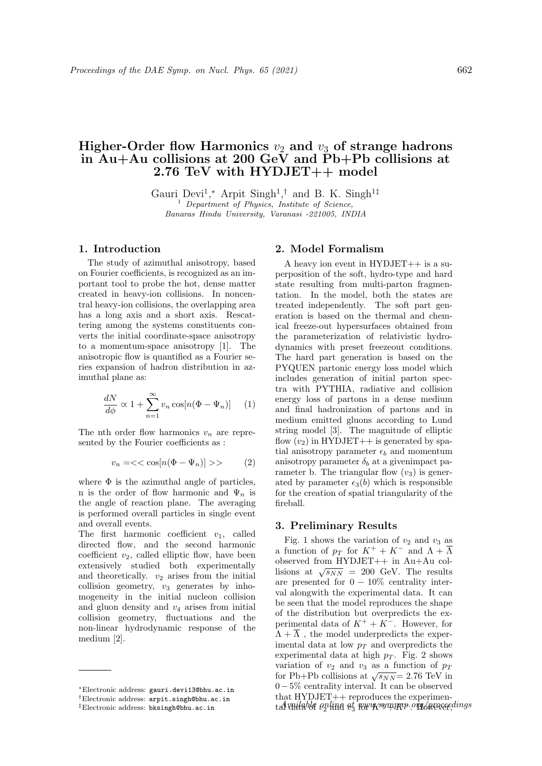# Higher-Order flow Harmonics  $v_2$  and  $v_3$  of strange hadrons in Au+Au collisions at 200 GeV and Pb+Pb collisions at 2.76 TeV with HYDJET++ model

Gauri Devi<sup>1</sup>,\* Arpit Singh<sup>1</sup>,<sup>†</sup> and B. K. Singh<sup>1‡</sup> <sup>1</sup> Department of Physics, Institute of Science, Banaras Hindu University, Varanasi -221005, INDIA

# 1. Introduction

The study of azimuthal anisotropy, based on Fourier coefficients, is recognized as an important tool to probe the hot, dense matter created in heavy-ion collisions. In noncentral heavy-ion collisions, the overlapping area has a long axis and a short axis. Rescattering among the systems constituents converts the initial coordinate-space anisotropy to a momentum-space anisotropy [1]. The anisotropic flow is quantified as a Fourier series expansion of hadron distribution in azimuthal plane as:

$$
\frac{dN}{d\phi} \propto 1 + \sum_{n=1}^{\infty} v_n \cos[n(\Phi - \Psi_n)] \quad (1)
$$

The nth order flow harmonics  $v_n$  are represented by the Fourier coefficients as :

$$
v_n = \ll \cos[n(\Phi - \Psi_n)] >> \tag{2}
$$

where  $\Phi$  is the azimuthal angle of particles, n is the order of flow harmonic and  $\Psi_n$  is the angle of reaction plane. The averaging is performed overall particles in single event and overall events.

The first harmonic coefficient  $v_1$ , called directed flow, and the second harmonic coefficient  $v_2$ , called elliptic flow, have been extensively studied both experimentally and theoretically.  $v_2$  arises from the initial collision geometry,  $v_3$  generates by inhomogeneity in the initial nucleon collision and gluon density and  $v_4$  arises from initial collision geometry, fluctuations and the non-linear hydrodynamic response of the medium [2].

#### 2. Model Formalism

A heavy ion event in HYDJET++ is a superposition of the soft, hydro-type and hard state resulting from multi-parton fragmentation. In the model, both the states are treated independently. The soft part generation is based on the thermal and chemical freeze-out hypersurfaces obtained from the parameterization of relativistic hydrodynamics with preset freezeout conditions. The hard part generation is based on the PYQUEN partonic energy loss model which includes generation of initial parton spectra with PYTHIA, radiative and collision energy loss of partons in a dense medium and final hadronization of partons and in medium emitted gluons according to Lund string model [3]. The magnitude of elliptic flow  $(v_2)$  in HYDJET++ is generated by spatial anisotropy parameter  $\epsilon_b$  and momentum anisotropy parameter  $\delta_b$  at a givenimpact parameter b. The triangular flow  $(v_3)$  is generated by parameter  $\epsilon_3(b)$  which is responsible for the creation of spatial triangularity of the fireball.

## 3. Preliminary Results

Fig. 1 shows the variation of  $v_2$  and  $v_3$  as a function of  $p_T$  for  $K^+ + K^-$  and  $\Lambda + \overline{\Lambda}$ observed from HYDJET++ in Au+Au colbbserved from  $H1D3E1++$  in  $Au+Au$  con-<br>lisions at  $\sqrt{s_{NN}}$  = 200 GeV. The results are presented for  $0 - 10\%$  centrality interval alongwith the experimental data. It can be seen that the model reproduces the shape of the distribution but overpredicts the experimental data of  $K^+ + K^-$ . However, for  $\Lambda + \overline{\Lambda}$ , the model underpredicts the experimental data at low  $p_T$  and overpredicts the experimental data at high  $p_T$ . Fig. 2 shows variation of  $v_2$  and  $v_3$  as a function of  $p_T$ variation of  $v_2$  and  $v_3$  as a function of  $p_T$ <br>for Pb+Pb collisions at  $\sqrt{s_{NN}}$  = 2.76 TeV in 0−5% centrality interval. It can be observed that  $HYDJET++$  reproduces the experimental vailable online at www.sympnp.org/weaeeedings

<sup>∗</sup>Electronic address: gauri.devi13@bhu.ac.in

<sup>†</sup>Electronic address: arpit.singh@bhu.ac.in

<sup>‡</sup>Electronic address: bksingh@bhu.ac.in